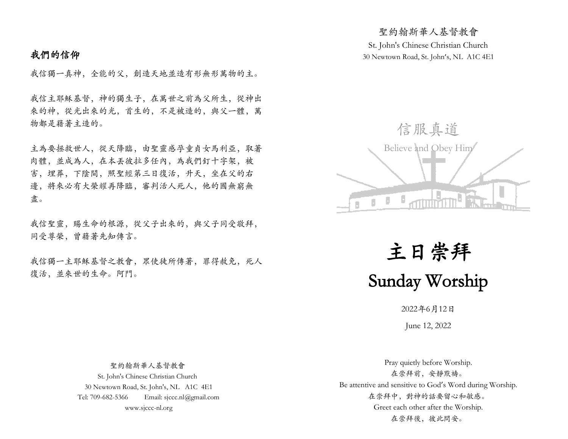# 我們的信仰

我信獨一真神,全能的父,創造天地並造有形無形萬物的主。

我信主耶穌基督,神的獨生子,在萬世之前為父所生,從神出 來的神,從光出來的光,首生的,不是被造的,與父一體,萬 物都是藉著主造的。

主為要拯救世人,從天降臨,由聖靈感孕童貞女馬利亞,取著 肉體,並成為人,在本丟彼拉多任內,為我們釘十字架,被 害,埋葬,下陰間,照聖經第三日復活,升天,坐在父的右 邊,將來必有大榮耀再降臨,審判活人死人,他的國無窮無 盡。

我信聖靈,賜生命的根源,從父子出來的,與父子同受敬拜, 同受尊榮,曾藉著先知傳言。

我信獨一主耶穌基督之教會,眾使徒所傳著,罪得赦免,死人 復活,並來世的生命。阿門。

St. John's Chinese Christian Church 30 Newtown Road, St. John's, NL A1C 4E1

聖約翰斯華人基督教會



主日崇拜 Sunday Worship

2022年6月12日

June 12, 2022

 聖約翰斯華人基督教會 St. John's Chinese Christian Church 30 Newtown Road, St. John's, NL A1C 4E1 Tel: 709-682-5366 Email: sjccc.nl@gmail.com www.sjccc-nl.org

Pray quietly before Worship. 在崇拜前,安靜默禱。 Be attentive and sensitive to God's Word during Worship. 在崇拜中,對神的話要留心和敏感。 Greet each other after the Worship. 在崇拜後, 彼此問安。